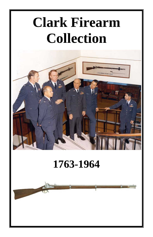# **Clark Firearm Collection**



# **1763-1964**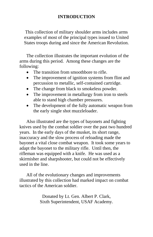# **INTRODUCTION**

This collection of military shoulder arms includes arms examples of most of the principal types issued to United States troops during and since the American Revolution.

The collection illustrates the important evolution of the arms during this period. Among these changes are the following:

- The transition from smoothbore to rifle.
- The improvement of ignition systems from flint and percussion to metallic, self-contained cartridge.
- The change from black to smokeless powder.
- The improvement in metallurgy from iron to steels able to stand high chamber pressures.
- The development of the fully automatic weapon from the early single shot muzzleloader.

Also illustrated are the types of bayonets and fighting knives used by the combat soldier over the past two hundred years. In the early days of the musket, its short range, inaccuracy and the slow process of reloading made the bayonet a vital close combat weapon. It took some years to adapt the bayonet to the military rifle. Until then, the rifleman was equipped with a knife. He was used as a skirmisher and sharpshooter, but could not be effectively used in the line.

All of the evolutionary changes and improvements illustrated by this collection had marked impact on combat tactics of the American soldier.

> Donated by Lt. Gen. Albert P. Clark, Sixth Superintendent, USAF Academy.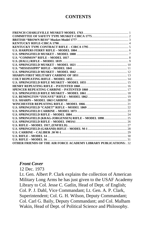#### **CONTENTS**

| U.S. SPRINGFIELD (KRAG-JORGENSEN) RIFLE - MODEL 1898 25                  |  |
|--------------------------------------------------------------------------|--|
|                                                                          |  |
|                                                                          |  |
|                                                                          |  |
|                                                                          |  |
|                                                                          |  |
|                                                                          |  |
| <b>OTHER FRIENDS OF THE AIR FORCE ACADEMY LIBRARY PUBLICATIONS: . 32</b> |  |

#### *Front Cover*

12 Dec. 1973 Lt. Gen. Albert P. Clark explains the collection of American Military Long Arms he has just given to the USAF Academy Library to Col. Jesse C. Gatlin, Head of Dept. of English; Col. P. J. Dahl, Vice Commandant; Lt. Gen. A. P. Clark, Superintendent; Col. G. H. Wilson, Deputy Commandant; Col. Carl G. Baily, Deputy Commandant; and Col. Malham Wakin, Head of Dept. of Political Science and Philosophy.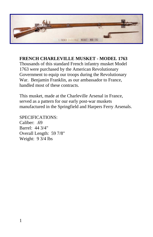

# **FRENCH CHARLEVILLE MUSKET - MODEL 1763**

Thousands of this standard French infantry musket Model 1763 were purchased by the American Revolutionary Government to equip our troops during the Revolutionary War. Benjamin Franklin, as our ambassador to France, handled most of these contracts.

This musket, made at the Charleville Arsenal in France, served as a pattern for our early post-war muskets manufactured in the Springfield and Harpers Ferry Arsenals.

SPECIFICATIONS:

Caliber: .69 Barrel: 44 3/4" Overall Length: 59 7/8" Weight: 9 3/4 lbs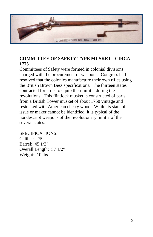

# **COMMITTEE OF SAFETY TYPE MUSKET - CIRCA 1775**

Committees of Safety were formed in colonial divisions charged with the procurement of weapons. Congress had resolved that the colonies manufacture their own rifles using the British Brown Bess specifications. The thirteen states contracted for arms to equip their militia during the revolutions. This flintlock musket is constructed of parts from a British Tower musket of about 1758 vintage and restocked with American cherry wood. While its state of issue or maker cannot be identified, it is typical of the nondescript weapons of the revolutionary militia of the several states.

SPECIFICATIONS: Caliber: .75 Barrel: 45 1/2" Overall Length: 57 1/2" Weight: 10 lbs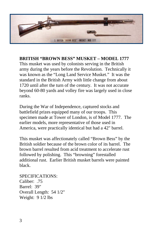

**BRITISH "BROWN BESS" MUSKET – MODEL 1777**  This musket was used by colonists serving in the British army during the years before the Revolution. Technically it was known as the "Long Land Service Musket." It was the standard in the British Army with little change from about 1720 until after the turn of the century. It was not accurate beyond 60-80 yards and volley fire was largely used in close ranks.

During the War of Independence, captured stocks and battlefield prizes equipped many of our troops. This specimen made at Tower of London, is of Model 1777. The earlier models, more representative of those used in America, were practically identical but had a 42" barrel.

This musket was affectionately called "Brown Bess" by the British soldier because of the brown color of its barrel. The brown barrel resulted from acid treatment to accelerate rust followed by polishing. This "browning" forestalled additional rust. Earlier British musket barrels were painted black.

SPECIFICATIONS: Caliber: .75 Barrel: 39" Overall Length: 54 1/2" Weight: 9 1/2 lbs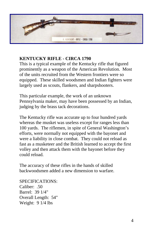

### **KENTUCKY RIFLE - CIRCA 1790**

This is a typical example of the Kentucky rifle that figured prominently as a weapon of the American Revolution. Most of the units recruited from the Western frontiers were so equipped. These skilled woodsmen and Indian fighters were largely used as scouts, flankers, and sharpshooters.

This particular example, the work of an unknown Pennsylvania maker, may have been possessed by an Indian, judging by the brass tack decorations.

The Kentucky rifle was accurate up to four hundred yards whereas the musket was useless except for ranges less than 100 yards. The riflemen, in spite of General Washington's efforts, were normally not equipped with the bayonet and were a liability in close combat. They could not reload as fast as a musketeer and the British learned to accept the first volley and then attack them with the bayonet before they could reload.

The accuracy of these rifles in the hands of skilled backwoodsmen added a new dimension to warfare.

SPECIFICATIONS: Caliber: .50 Barrel: 39 1/4" Overall Length: 54" Weight: 9 1/4 lbs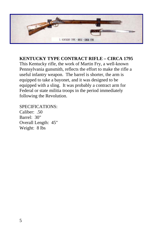

**KENTUCKY TYPE CONTRACT RIFLE – CIRCA 1795** 

This Kentucky rifle, the work of Martin Fry, a well-known Pennsylvania gunsmith, reflects the effort to make the rifle a useful infantry weapon. The barrel is shorter, the arm is equipped to take a bayonet, and it was designed to be equipped with a sling. It was probably a contract arm for Federal or state militia troops in the period immediately following the Revolution.

SPECIFICATIONS: Caliber: .50 Barrel: 30" Overall Length: 45" Weight: 8 lbs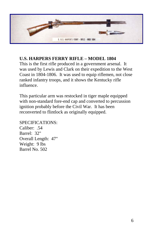

# **U.S. HARPERS FERRY RIFLE – MODEL 1804**

This is the first rifle produced in a government arsenal. It was used by Lewis and Clark on their expedition to the West Coast in 1804-1806. It was used to equip riflemen, not close ranked infantry troops, and it shows the Kentucky rifle influence.

This particular arm was restocked in tiger maple equipped with non-standard fore-end cap and converted to percussion ignition probably before the Civil War. It has been reconverted to flintlock as originally equipped.

SPECIFICATIONS: Caliber: .54 Barrel: 32" Overall Length: 47" Weight: 9 lbs Barrel No. 502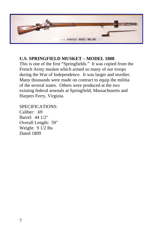

# **U.S. SPRINGFIELD MUSKET – MODEL 1808**

This is one of the first "Springfields." It was copied from the French Army musket which armed so many of our troops during the War of Independence. It was larger and sturdier. Many thousands were made on contract to equip the militia of the several states. Others were produced at the two existing federal arsenals at Springfield, Massachusetts and Harpers Ferry, Virginia.

SPECIFICATIONS: Caliber: .69 Barrel: 44 1/2" Overall Length: 59" Weight: 9 1/2 lbs

Dated 1809

7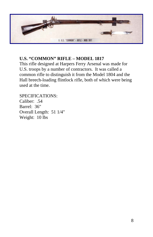

# **U.S. "COMMON" RIFLE – MODEL 1817**

This rifle designed at Harpers Ferry Arsenal was made for U.S. troops by a number of contractors. It was called a common rifle to distinguish it from the Model 1804 and the Hall breech-loading flintlock rifle, both of which were being used at the time.

SPECIFICATIONS: Caliber: .54 Barrel: 36" Overall Length: 51 1/4" Weight: 10 lbs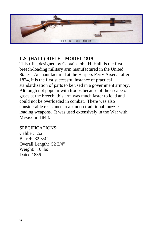

# **U.S. (HALL) RIFLE – MODEL 1819**

This rifle, designed by Captain John H. Hall, is the first breech-loading military arm manufactured in the United States. As manufactured at the Harpers Ferry Arsenal after 1824, it is the first successful instance of practical standardization of parts to be used in a government armory. Although not popular with troops because of the escape of gases at the breech, this arm was much faster to load and could not be overloaded in combat. There was also considerable resistance to abandon traditional muzzleloading weapons. It was used extensively in the War with Mexico in 1848.

SPECIFICATIONS: Caliber: .52 Barrel: 32 3/4" Overall Length: 52 3/4" Weight: 10 lbs Dated 1836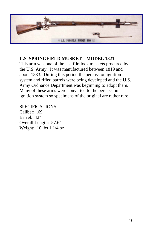

# **U.S. SPRINGFIELD MUSKET – MODEL 1821**

This arm was one of the last flintlock muskets procured by the U.S. Army. It was manufactured between 1819 and about 1833. During this period the percussion ignition system and rifled barrels were being developed and the U.S. Army Ordnance Department was beginning to adopt them. Many of these arms were converted to the percussion ignition system so specimens of the original are rather rare.

SPECIFICATIONS: Caliber: .69 Barrel: 42" Overall Length: 57.64" Weight: 10 lbs 1 1/4 oz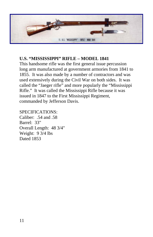

# **U.S. "MISSISSIPPI" RIFLE – MODEL 1841**

This handsome rifle was the first general issue percussion long arm manufactured at government armories from 1841 to 1855. It was also made by a number of contractors and was used extensively during the Civil War on both sides. It was called the "Jaeger rifle" and more popularly the "Mississippi Rifle." It was called the Mississippi Rifle because it was issued in 1847 to the First Mississippi Regiment, commanded by Jefferson Davis.

#### SPECIFICATIONS:

Caliber: .54 and .58 Barrel: 33" Overall Length: 48 3/4" Weight: 9 3/4 lbs Dated 1853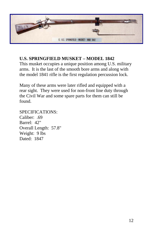

# **U.S. SPRINGFIELD MUSKET – MODEL 1842**

This musket occupies a unique position among U.S. military arms. It is the last of the smooth bore arms and along with the model 1841 rifle is the first regulation percussion lock.

Many of these arms were later rifled and equipped with a rear sight. They were used for non-front line duty through the Civil War and some spare parts for them can still be found.

SPECIFICATIONS: Caliber: .69 Barrel: 42" Overall Length: 57.8" Weight: 9 lbs Dated: 1847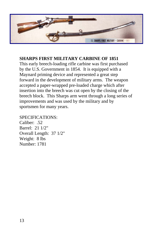

# **SHARPS FIRST MILITARY CARBINE OF 1851**

This early breech-loading rifle carbine was first purchased by the U.S. Government in 1854. It is equipped with a Maynard priming device and represented a great step forward in the development of military arms. The weapon accepted a paper-wrapped pre-loaded charge which after insertion into the breech was cut open by the closing of the breech block. This Sharps arm went through a long series of improvements and was used by the military and by sportsmen for many years.

### SPECIFICATIONS:

Caliber: .52 Barrel: 21 1/2" Overall Length: 37 1/2" Weight: 8 lbs Number: 1781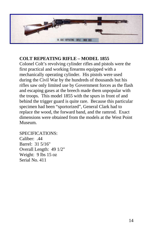

#### **COLT REPEATING RIFLE – MODEL 1855**

Colonel Colt's revolving cylinder rifles and pistols were the first practical and working firearms equipped with a mechanically operating cylinder. His pistols were used during the Civil War by the hundreds of thousands but his rifles saw only limited use by Government forces as the flash and escaping gases at the breech made them unpopular with the troops. This model 1855 with the spurs in front of and behind the trigger guard is quite rare. Because this particular specimen had been "sportorized", General Clark had to replace the wood, the forward band, and the ramrod. Exact dimensions were obtained from the models at the West Point Museum.

SPECIFICATIONS: Caliber: .44 Barrel: 31 5/16" Overall Length: 49 1/2" Weight: 9 lbs 15 oz Serial No. 411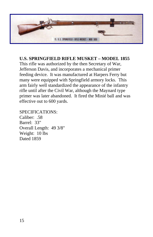

# **U.S. SPRINGFIELD RIFLE MUSKET – MODEL 1855**

This rifle was authorized by the then Secretary of War, Jefferson Davis, and incorporates a mechanical primer feeding device. It was manufactured at Harpers Ferry but many were equipped with Springfield armory locks. This arm fairly well standardized the appearance of the infantry rifle until after the Civil War, although the Maynard type primer was later abandoned. It fired the Minié ball and was effective out to 600 yards.

SPECIFICATIONS: Caliber: .58 Barrel: 33" Overall Length: 49 3/8" Weight: 10 lbs Dated 1859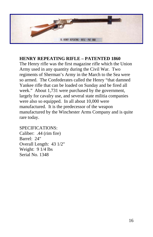

#### **HENRY REPEATING RIFLE – PATENTED 1860**

The Henry rifle was the first magazine rifle which the Union Army used in any quantity during the Civil War. Two regiments of Sherman's Army in the March to the Sea were so armed. The Confederates called the Henry "that damned Yankee rifle that can be loaded on Sunday and be fired all week." About 1,731 were purchased by the government, largely for cavalry use, and several state militia companies were also so equipped. In all about 10,000 were manufactured. It is the predecessor of the weapon manufactured by the Winchester Arms Company and is quite rare today.

SPECIFICATIONS: Caliber: .44 (rim fire) Barrel: 24" Overall Length: 43 1/2" Weight: 9 1/4 lbs Serial No. 1348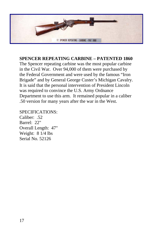

#### **SPENCER REPEATING CARBINE – PATENTED 1860**

The Spencer repeating carbine was the most popular carbine in the Civil War. Over 94,000 of them were purchased by the Federal Government and were used by the famous "Iron Brigade" and by General George Custer's Michigan Cavalry. It is said that the personal intervention of President Lincoln was required to convince the U.S. Army Ordnance Department to use this arm. It remained popular in a caliber .50 version for many years after the war in the West.

SPECIFICATIONS: Caliber: .52

Barrel: 22" Overall Length: 47" Weight: 8 1/4 lbs Serial No. 52126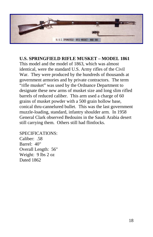

# **U.S. SPRINGFIELD RIFLE MUSKET – MODEL 1861**

This model and the model of 1863, which was almost identical, were the standard U.S. Army rifles of the Civil War. They were produced by the hundreds of thousands at government armories and by private contractors. The term "rifle musket" was used by the Ordnance Department to designate these new arms of musket size and long slim rifled barrels of reduced caliber. This arm used a charge of 60 grains of musket powder with a 500 grain hollow base, conical thru-cannelured bullet. This was the last government muzzle-loading, standard, infantry shoulder arm. In 1958 General Clark observed Bedouins in the Saudi Arabia desert still carrying them. Others still had flintlocks.

SPECIFICATIONS: Caliber: .58 Barrel: 40" Overall Length: 56" Weight: 9 lbs 2 oz Dated 1862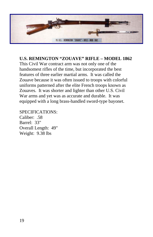

### **U.S. REMINGTON "ZOUAVE" RIFLE – MODEL 1862**

This Civil War contract arm was not only one of the handsomest rifles of the time, but incorporated the best features of three earlier martial arms. It was called the Zouave because it was often issued to troops with colorful uniforms patterned after the elite French troops known as Zouaves. It was shorter and lighter than other U.S. Civil War arms and yet was as accurate and durable. It was equipped with a long brass-handled sword-type bayonet.

SPECIFICATIONS: Caliber: .58 Barrel: 33" Overall Length: 49" Weight: 9.38 lbs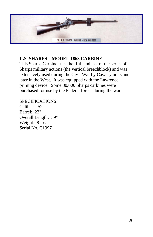

# **U.S. SHARPS – MODEL 1863 CARBINE**

This Sharps Carbine uses the fifth and last of the series of Sharps military actions (the vertical breechblock) and was extensively used during the Civil War by Cavalry units and later in the West. It was equipped with the Lawrence priming device. Some 80,000 Sharps carbines were purchased for use by the Federal forces during the war.

#### SPECIFICATIONS:

Caliber: .52 Barrel: 22" Overall Length: 39" Weight: 8 lbs Serial No. C1997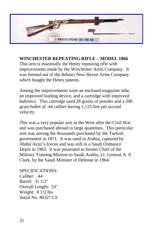

**WINCHESTER REPEATING RIFLE – MODEL 1866** 

This arm is essentially the Henry repeating rifle with improvements made by the Winchester Arms Company. It was formed out of the defunct New Haven Arms Company which bought the Henry patents.

Among the improvements were an enclosed magazine tube, an improved loading device, and a cartridge with improved ballistics. This cartridge used 28 grains of powder and a 200 grain bullet of .44 caliber having 1,125 feet per second velocity.

This was a very popular arm in the West after the Civil War and was purchased abroad in large quantities. This particular arm was among the thousands purchased by the Turkish government in 1871. It was used in Arabia, captured by Abdul Azizi's forces and was still in a Saudi Ordnance Depot in 1963. It was presented to former Chief of the Military Training Mission to Saudi Arabia, Lt. General A. P. Clark, by the Saudi Minister of Defense in 1964.

SPECIFICATIONS: Caliber: .44 Barrel: 31 1/2" Overall Length: 53" Weight: 8 1/2 lbs Serial No. 86327 LS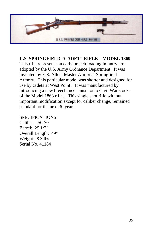

#### **U.S. SPRINGFIELD "CADET" RIFLE – MODEL 1869**

This rifle represents an early breech-loading infantry arm adopted by the U.S. Army Ordnance Department. It was invented by E.S. Allen, Master Armor at Springfield Armory. This particular model was shorter and designed for use by cadets at West Point. It was manufactured by introducing a new breech mechanism onto Civil War stocks of the Model 1863 rifles. This single shot rifle without important modification except for caliber change, remained standard for the next 30 years.

#### SPECIFICATIONS:

Caliber: .50-70 Barrel: 29 1/2" Overall Length: 49" Weight: 8.3 lbs Serial No. 41184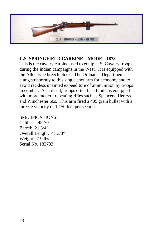

# **U.S. SPRINGFIELD CARBINE – MODEL 1873**

This is the cavalry carbine used to equip U.S. Cavalry troops during the Indian campaigns in the West. It is equipped with the Allen type breech block. The Ordnance Department clung stubbornly to this single shot arm for economy and to avoid reckless unaimed expenditure of ammunition by troops in combat. As a result, troops often faced Indians equipped with more modern repeating rifles such as Spencers, Henrys, and Winchester 66s. This arm fired a 405 grain bullet with a muzzle velocity of 1,150 feet per second.

#### SPECIFICATIONS:

Caliber: .45-70 Barrel: 21 3/4" Overall Length: 41 3/8" Weight: 7.9 lbs Serial No. 182733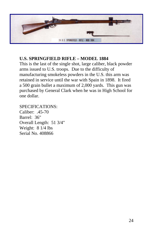

# **U.S. SPRINGFIELD RIFLE – MODEL 1884**

This is the last of the single shot, large caliber, black powder arms issued to U.S. troops. Due to the difficulty of manufacturing smokeless powders in the U.S. this arm was retained in service until the war with Spain in 1898. It fired a 500 grain bullet a maximum of 2,000 yards. This gun was purchased by General Clark when he was in High School for one dollar.

### SPECIFICATIONS:

Caliber: .45-70 Barrel: 36" Overall Length: 51 3/4" Weight: 8 1/4 lbs Serial No. 408866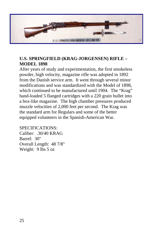

# **U.S. SPRINGFIELD (KRAG-JORGENSEN) RIFLE – MODEL 1898**

After years of study and experimentation, the first smokeless powder, high velocity, magazine rifle was adopted in 1892 from the Danish service arm. It went through several minor modifications and was standardized with the Model of 1898, which continued to be manufactured until 1904. The "Krag" hand-loaded 5 flanged cartridges with a 220 grain bullet into a box-like magazine. The high chamber pressures produced muzzle velocities of 2,000 feet per second. The Krag was the standard arm for Regulars and some of the better equipped volunteers in the Spanish-American War.

SPECIFICATIONS: Caliber: .30/40 KRAG Barrel: 30" Overall Length: 48 7/8" Weight: 9 lbs 5 oz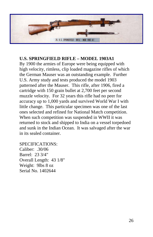

#### **U.S. SPRINGFIELD RIFLE – MODEL 1903A1**

By 1900 the armies of Europe were being equipped with high velocity, rimless, clip loaded magazine rifles of which the German Mauser was an outstanding example. Further U.S. Army study and tests produced the model 1903 patterned after the Mauser. This rifle, after 1906, fired a cartridge with 150 grain bullet at 2,700 feet per second muzzle velocity. For 32 years this rifle had no peer for accuracy up to 1,000 yards and survived World War I with little change. This particular specimen was one of the last ones selected and refined for National Match competition. When such competition was suspended in WWII it was returned to stock and shipped to India on a vessel torpedoed and sunk in the Indian Ocean. It was salvaged after the war in its sealed container.

SPECIFICATIONS: Caliber: .30/06 Barrel: 23 3/4" Overall Length: 43 1/8" Weight: 9lbs 8 oz Serial No. 1402644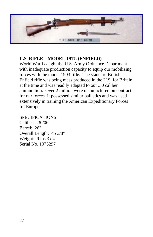

# **U.S. RIFLE – MODEL 1917, (ENFIELD)**

World War I caught the U.S. Army Ordnance Department with inadequate production capacity to equip our mobilizing forces with the model 1903 rifle. The standard British Enfield rifle was being mass produced in the U.S. for Britain at the time and was readily adapted to our .30 caliber ammunition. Over 2 million were manufactured on contract for our forces. It possessed similar ballistics and was used extensively in training the American Expeditionary Forces for Europe.

#### SPECIFICATIONS:

Caliber: .30/06 Barrel: 26" Overall Length: 45 3/8" Weight: 9 lbs 3 oz Serial No. 1075297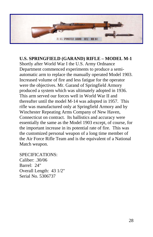

**U.S. SPRINGFIELD (GARAND) RIFLE – MODEL M-1**  Shortly after World War I the U.S. Army Ordnance Department commenced experiments to produce a semiautomatic arm to replace the manually operated Model 1903. Increased volume of fire and less fatigue for the operator were the objectives. Mr. Garand of Springfield Armory produced a system which was ultimately adopted in 1936. This arm served our forces well in World War II and thereafter until the model M-14 was adopted in 1957. This rifle was manufactured only at Springfield Armory and by Winchester Repeating Arms Company of New Haven, Connecticut on contract. Its ballistics and accuracy were essentially the same as the Model 1903 except, of course, for the important increase in its potential rate of fire. This was the customized personal weapon of a long time member of the Air Force Rifle Team and is the equivalent of a National Match weapon.

SPECIFICATIONS: Caliber: .30/06 Barrel: 24" Overall Length: 43 1/2" Serial No. 5306737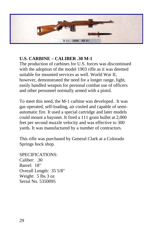

# **U.S. CARBINE – CALIBER .30 M-1**

The production of carbines for U.S. forces was discontinued with the adoption of the model 1903 rifle as it was deemed suitable for mounted services as well. World War II, however, demonstrated the need for a longer range, light, easily handled weapon for personal combat use of officers and other personnel normally armed with a pistol.

To meet this need, the M-1 carbine was developed. It was gas operated, self-loading, air cooled and capable of semiautomatic fire. It used a special cartridge and later models could mount a bayonet. It fired a 111 grain bullet at 2,000 feet per second muzzle velocity and was effective to 300 yards. It was manufactured by a number of contractors.

This rifle was purchased by General Clark at a Colorado Springs hock shop.

SPECIFICATIONS: Caliber: .30 Barrel: 18" Overall Length: 35 5/8" Weight: 5 lbs 3 oz Serial No. 5350095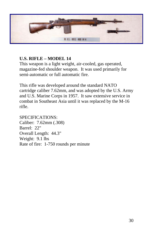

# **U.S. RIFLE – MODEL 14**

This weapon is a light weight, air-cooled, gas operated, magazine-fed shoulder weapon. It was used primarily for semi-automatic or full automatic fire.

This rifle was developed around the standard NATO cartridge caliber 7.62mm, and was adopted by the U.S. Army and U.S. Marine Corps in 1957. It saw extensive service in combat in Southeast Asia until it was replaced by the M-16 rifle.

SPECIFICATIONS: Caliber: 7.62mm (.308) Barrel: 22" Overall Length: 44.3" Weight: 9.1 lbs Rate of fire: 1-750 rounds per minute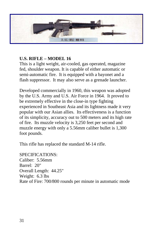

## **U.S. RIFLE – MODEL 16**

This is a light weight, air-cooled, gas operated, magazine fed, shoulder weapon. It is capable of either automatic or semi-automatic fire. It is equipped with a bayonet and a flash suppressor. It may also serve as a grenade launcher.

Developed commercially in 1960, this weapon was adopted by the U.S. Army and U.S. Air Force in 1964. It proved to be extremely effective in the close-in type fighting experienced in Southeast Asia and its lightness made it very popular with our Asian allies. Its effectiveness is a function of its simplicity, accuracy out to 500 meters and its high rate of fire. Its muzzle velocity is 3,250 feet per second and muzzle energy with only a 5.56mm caliber bullet is 1,300 foot pounds.

This rifle has replaced the standard M-14 rifle.

SPECIFICATIONS: Caliber: 5.56mm Barrel: 20" Overall Length: 44.25" Weight: 6.3 lbs Rate of Fire: 700/800 rounds per minute in automatic mode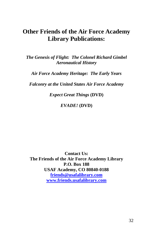# **Other Friends of the Air Force Academy Library Publications:**

*The Genesis of Flight: The Colonel Richard Gimbel Aeronautical History* 

*Air Force Academy Heritage: The Early Years* 

*Falconry at the United States Air Force Academy* 

*Expect Great Things* **(DVD)** 

*EVADE!* **(DVD)** 

**Contact Us: The Friends of the Air Force Academy Library P.O. Box 188 USAF Academy, CO 80840-0188 friends@usafalibrary.com www.friends.usafalibrary.com**